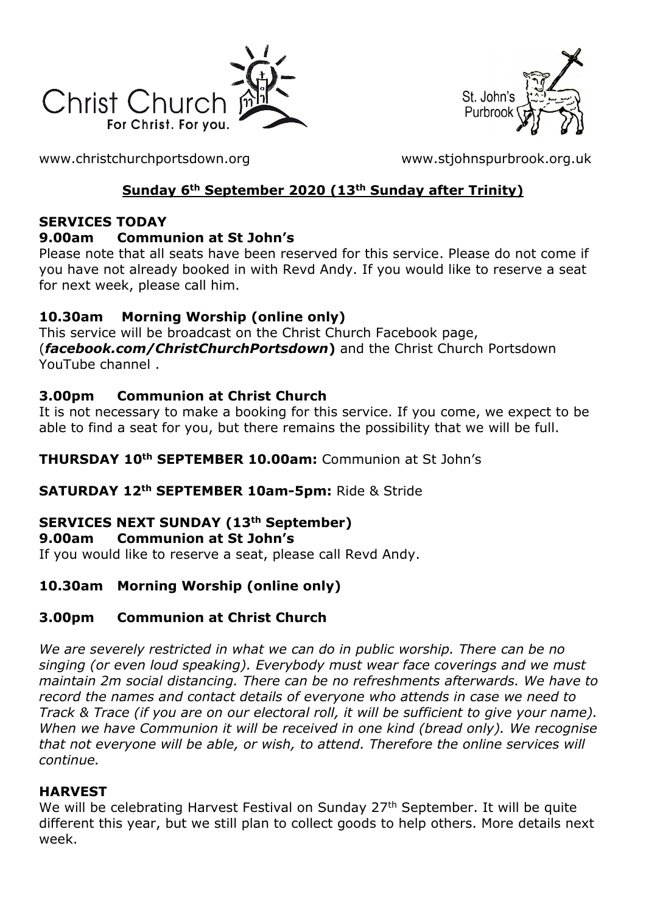



[www.christchurchportsdown.org](http://www.christchurchportsdown.org/) [www.stjohnspurbrook.org.uk](http://www.stjohnspurbrook.org.uk/)

# **Sunday 6th September 2020 (13th Sunday after Trinity)**

#### **SERVICES TODAY**

#### **9.00am Communion at St John's**

Please note that all seats have been reserved for this service. Please do not come if you have not already booked in with Revd Andy. If you would like to reserve a seat for next week, please call him.

### **10.30am Morning Worship (online only)**

This service will be broadcast on the Christ Church Facebook page, (*[facebook.com/ChristChurchPortsdown](http://www.facebook.com/ChristChurchPortsdown%20at%2010.30)***)** and the Christ Church Portsdown [YouTube channel](http://www.facebook.com/ChristChurchPortsdown%20at%2010.30) .

### **3.00pm Communion at Christ Church**

It is not necessary to make a booking for this service. If you come, we expect to be able to find a seat for you, but there remains the possibility that we will be full.

### **THURSDAY 10th SEPTEMBER 10.00am:** Communion at St John's

### **SATURDAY 12th SEPTEMBER 10am-5pm:** Ride & Stride

# **SERVICES NEXT SUNDAY (13th September)**

#### **9.00am Communion at St John's**

If you would like to reserve a seat, please call Revd Andy.

# **10.30am Morning Worship (online only)**

### **3.00pm Communion at Christ Church**

*We are severely restricted in what we can do in public worship. There can be no singing (or even loud speaking). Everybody must wear face coverings and we must maintain 2m social distancing. There can be no refreshments afterwards. We have to record the names and contact details of everyone who attends in case we need to Track & Trace (if you are on our electoral roll, it will be sufficient to give your name). When we have Communion it will be received in one kind (bread only). We recognise that not everyone will be able, or wish, to attend. Therefore the online services will continue.*

### **HARVEST**

We will be celebrating Harvest Festival on Sunday 27<sup>th</sup> September. It will be quite different this year, but we still plan to collect goods to help others. More details next week.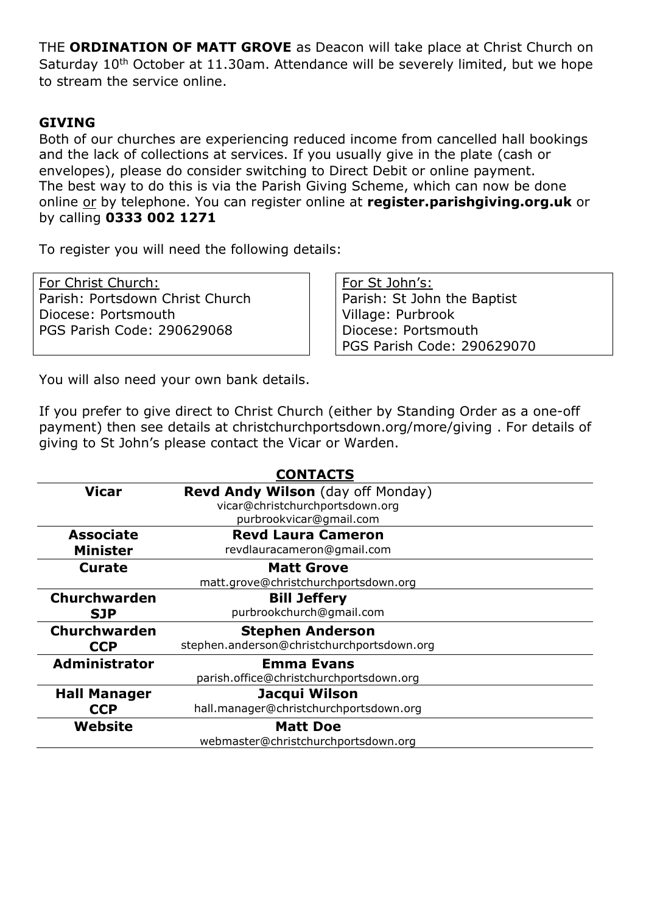THE **ORDINATION OF MATT GROVE** as Deacon will take place at Christ Church on Saturday 10<sup>th</sup> October at 11.30am. Attendance will be severely limited, but we hope to stream the service online.

#### **GIVING**

Both of our churches are experiencing reduced income from cancelled hall bookings and the lack of collections at services. If you usually give in the plate (cash or envelopes), please do consider switching to Direct Debit or online payment. The best way to do this is via the Parish Giving Scheme, which can now be done online or by telephone. You can register online at **register.parishgiving.org.uk** or by calling **0333 002 1271**

To register you will need the following details:

For Christ Church: Parish: Portsdown Christ Church Diocese: Portsmouth PGS Parish Code: 290629068

For St John's: Parish: St John the Baptist Village: Purbrook Diocese: Portsmouth PGS Parish Code: 290629070

You will also need your own bank details.

If you prefer to give direct to Christ Church (either by Standing Order as a one-off payment) then see details at christchurchportsdown.org/more/giving . For details of giving to St John's please contact the Vicar or Warden.

| <b>CONTACTS</b>      |                                            |
|----------------------|--------------------------------------------|
| <b>Vicar</b>         | Revd Andy Wilson (day off Monday)          |
|                      | vicar@christchurchportsdown.org            |
|                      | purbrookvicar@gmail.com                    |
| <b>Associate</b>     | <b>Revd Laura Cameron</b>                  |
| <b>Minister</b>      | revdlauracameron@gmail.com                 |
| <b>Curate</b>        | <b>Matt Grove</b>                          |
|                      | matt.grove@christchurchportsdown.org       |
| <b>Churchwarden</b>  | <b>Bill Jeffery</b>                        |
| <b>SJP</b>           | purbrookchurch@gmail.com                   |
| Churchwarden         | <b>Stephen Anderson</b>                    |
| <b>CCP</b>           | stephen.anderson@christchurchportsdown.org |
| <b>Administrator</b> | <b>Emma Evans</b>                          |
|                      | parish.office@christchurchportsdown.org    |
| <b>Hall Manager</b>  | Jacqui Wilson                              |
| <b>CCP</b>           | hall.manager@christchurchportsdown.org     |
| Website              | <b>Matt Doe</b>                            |
|                      | webmaster@christchurchportsdown.org        |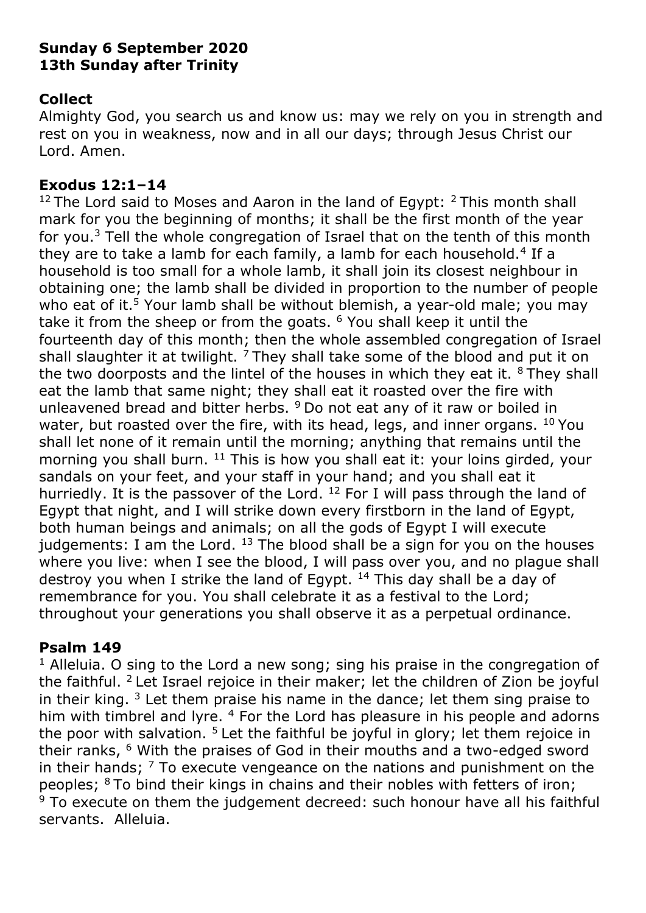### **Sunday 6 September 2020 13th Sunday after Trinity**

### **Collect**

Almighty God, you search us and know us: may we rely on you in strength and rest on you in weakness, now and in all our days; through Jesus Christ our Lord. Amen.

### **Exodus 12:1–14**

 $12$  The Lord said to Moses and Aaron in the land of Egypt:  $2$  This month shall mark for you the beginning of months; it shall be the first month of the year for you.<sup>3</sup> Tell the whole congregation of Israel that on the tenth of this month they are to take a lamb for each family, a lamb for each household.<sup>4</sup> If a household is too small for a whole lamb, it shall join its closest neighbour in obtaining one; the lamb shall be divided in proportion to the number of people who eat of it.<sup>5</sup> Your lamb shall be without blemish, a year-old male; you may take it from the sheep or from the goats.  $6$  You shall keep it until the fourteenth day of this month; then the whole assembled congregation of Israel shall slaughter it at twilight. <sup>7</sup> They shall take some of the blood and put it on the two doorposts and the lintel of the houses in which they eat it.  $8$  They shall eat the lamb that same night; they shall eat it roasted over the fire with unleavened bread and bitter herbs. <sup>9</sup> Do not eat any of it raw or boiled in water, but roasted over the fire, with its head, legs, and inner organs.  $^{10}$  You shall let none of it remain until the morning; anything that remains until the morning you shall burn.  $11$  This is how you shall eat it: your loins girded, your sandals on your feet, and your staff in your hand; and you shall eat it hurriedly. It is the passover of the Lord. <sup>12</sup> For I will pass through the land of Egypt that night, and I will strike down every firstborn in the land of Egypt, both human beings and animals; on all the gods of Egypt I will execute judgements: I am the Lord.  $^{13}$  The blood shall be a sign for you on the houses where you live: when I see the blood, I will pass over you, and no plague shall destroy you when I strike the land of Egypt.  $14$  This day shall be a day of remembrance for you. You shall celebrate it as a festival to the Lord; throughout your generations you shall observe it as a perpetual ordinance.

# **Psalm 149**

<sup>1</sup> Alleluia. O sing to the Lord a new song; sing his praise in the congregation of the faithful. <sup>2</sup>Let Israel rejoice in their maker; let the children of Zion be joyful in their king,  $3$  Let them praise his name in the dance; let them sing praise to him with timbrel and lyre. <sup>4</sup> For the Lord has pleasure in his people and adorns the poor with salvation.<sup>5</sup> Let the faithful be joyful in glory; let them rejoice in their ranks, <sup>6</sup> With the praises of God in their mouths and a two-edged sword in their hands;  $<sup>7</sup>$  To execute vengeance on the nations and punishment on the</sup> peoples; <sup>8</sup>To bind their kings in chains and their nobles with fetters of iron;  $9$  To execute on them the judgement decreed: such honour have all his faithful servants. Alleluia.